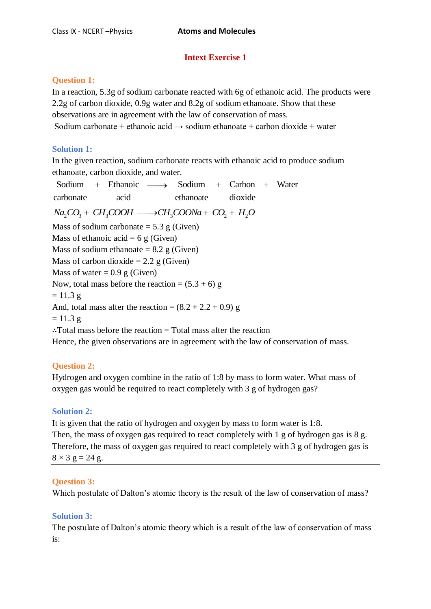# **Intext Exercise 1**

# **Question 1:**

In a reaction, 5.3g of sodium carbonate reacted with 6g of ethanoic acid. The products were 2.2g of carbon dioxide, 0.9g water and 8.2g of sodium ethanoate. Show that these observations are in agreement with the law of conservation of mass. Sodium carbonate + ethanoic acid  $\rightarrow$  sodium ethanoate + carbon dioxide + water

# **Solution 1:**

In the given reaction, sodium carbonate reacts with ethanoic acid to produce sodium<br>
ethanoate, carbon dioxide, and water.<br>
Sodium + Ethanoic  $\longrightarrow$  Sodium + Carbon + Water

ethanoate, carbon dioxide, and water.<br>
Sodium + Ethanoic  $\longrightarrow$  Sodium + Carbon<br>
carbonate acid ethanoate dioxide Sodium + Ethanoic  $\longrightarrow$  Sodium + Carbon + Water<br>carbonate acid ethanoate dioxide<br> $Na_2CO_3 + CH_3COOH \longrightarrow CH_3COONa + CO_2 + H_2O$ Mass of sodium carbonate  $= 5.3$  g (Given) Mass of ethanoic acid =  $6 \text{ g}$  (Given) Mass of sodium ethanoate  $= 8.2$  g (Given) Mass of carbon dioxide  $= 2.2$  g (Given) Mass of water  $= 0.9$  g (Given) Now, total mass before the reaction =  $(5.3 + 6)$  g  $= 11.3 g$ And, total mass after the reaction =  $(8.2 + 2.2 + 0.9)$  g  $= 11.3 g$ ∴Total mass before the reaction = Total mass after the reaction Hence, the given observations are in agreement with the law of conservation of mass.

# **Question 2:**

Hydrogen and oxygen combine in the ratio of 1:8 by mass to form water. What mass of oxygen gas would be required to react completely with 3 g of hydrogen gas?

# **Solution 2:**

It is given that the ratio of hydrogen and oxygen by mass to form water is 1:8. Then, the mass of oxygen gas required to react completely with 1 g of hydrogen gas is 8 g. Therefore, the mass of oxygen gas required to react completely with 3 g of hydrogen gas is  $8 \times 3$  g = 24 g.

# **Question 3:**

Which postulate of Dalton's atomic theory is the result of the law of conservation of mass?

# **Solution 3:**

The postulate of Dalton's atomic theory which is a result of the law of conservation of mass is: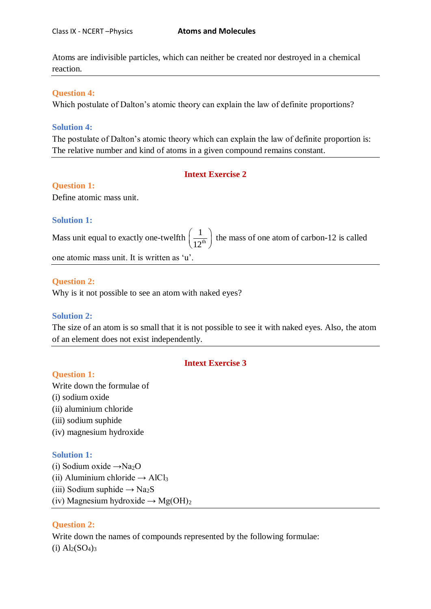Atoms are indivisible particles, which can neither be created nor destroyed in a chemical reaction.

### **Question 4:**

Which postulate of Dalton's atomic theory can explain the law of definite proportions?

#### **Solution 4:**

The postulate of Dalton's atomic theory which can explain the law of definite proportion is: The relative number and kind of atoms in a given compound remains constant.

### **Intext Exercise 2**

### **Question 1:**

Define atomic mass unit.

#### **Solution 1:**

Mass unit equal to exactly one-twelfth  $\frac{1}{12^{th}}$ 1  $\left(\frac{1}{12^{th}}\right)$  the mass of one atom of carbon-12 is called

one atomic mass unit. It is written as 'u'.

#### **Question 2:**

Why is it not possible to see an atom with naked eyes?

### **Solution 2:**

The size of an atom is so small that it is not possible to see it with naked eyes. Also, the atom of an element does not exist independently.

### **[Intext Exercise 3](https://www.ncertbooks.guru/cbse-ncert-solutions-pdf/)**

### **Question 1:**

Write down the formulae of (i) sodium oxide (ii) aluminium chloride (iii) sodium suphide (iv) magnesium hydroxide

### **Solution 1:**

(i) Sodium oxide  $\rightarrow$ Na<sub>2</sub>O (ii) Aluminium chloride  $\rightarrow$  AlCl<sub>3</sub> (iii) Sodium suphide  $\rightarrow$  Na<sub>2</sub>S (iv) Magnesium hydroxide  $\rightarrow$  Mg(OH)<sub>2</sub>

### **Question 2:**

Write down the names of compounds represented by the following formulae:  $(i)$  Al<sub>2</sub> $(SO<sub>4</sub>)<sub>3</sub>$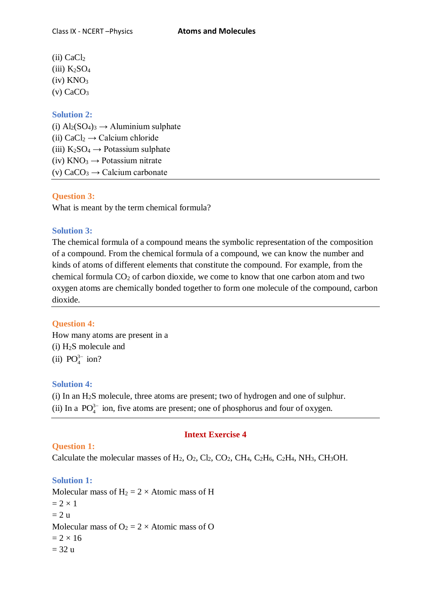$(ii)$  CaCl<sub>2</sub> (iii)  $K_2SO_4$  $(iv)$  KNO<sub>3</sub>  $(v)$  CaCO<sub>3</sub>

### **Solution 2:**

(i)  $\text{Al}_2(\text{SO}_4)_3 \rightarrow \text{Al}$ uminium sulphate (ii)  $CaCl<sub>2</sub> \rightarrow Caclcium chloride$ (iii)  $K_2SO_4 \rightarrow$  Potassium sulphate (iv)  $KNO_3 \rightarrow$  Potassium nitrate (v)  $CaCO<sub>3</sub> \rightarrow Caclcium carbonate$ 

### **Question 3:**

What is meant by the term chemical formula?

### **Solution 3:**

The chemical formula of a compound means the symbolic representation of the composition of a compound. From the chemical formula of a compound, we can know the number and kinds of atoms of different elements that constitute the compound. For example, from the chemical formula  $CO<sub>2</sub>$  of carbon dioxide, we come to know that one carbon atom and two oxygen atoms are chemically bonded together to form one molecule of the compound, carbon dioxide.

### **Question 4:**

How many atoms are present in a (i) H2S molecule and (ii)  $PO_4^{3-}$  ion?

#### **Solution 4:**

(i) In an H2S molecule, three atoms are present; two of hydrogen and one of sulphur. (ii) In a  $PO_4^{3-}$  ion, five atoms are present; one of phosphorus and four of oxygen.

### **Question 1:**

#### **Intext Exercise 4**

Calculate the molecular masses of  $H_2$ ,  $O_2$ ,  $Cl_2$ ,  $CO_2$ ,  $CH_4$ ,  $C_2H_6$ ,  $C_2H_4$ ,  $NH_3$ ,  $CH_3OH$ .

### **Solution 1:**

Molecular mass of  $H_2 = 2 \times$  Atomic mass of H  $= 2 \times 1$  $= 2 u$ Molecular mass of  $O_2 = 2 \times$  Atomic mass of O  $= 2 \times 16$  $= 32 u$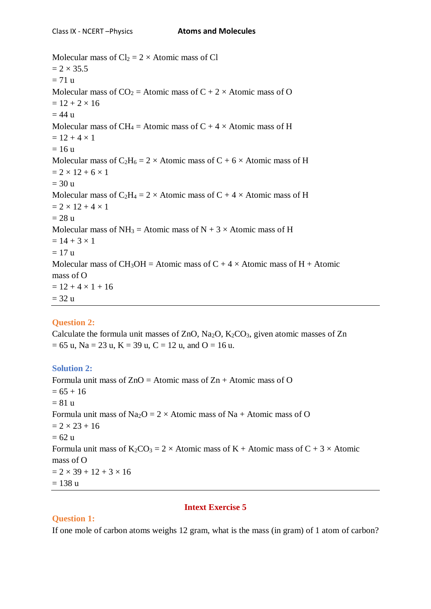Molecular mass of  $Cl_2 = 2 \times$  Atomic mass of Cl  $= 2 \times 35.5$  $= 71 u$ Molecular mass of  $CO_2$  = Atomic mass of C + 2 × Atomic mass of O  $= 12 + 2 \times 16$  $= 44 u$ Molecular mass of CH<sub>4</sub> = Atomic mass of C + 4  $\times$  Atomic mass of H  $= 12 + 4 \times 1$  $= 16 u$ Molecular mass of  $C_2H_6 = 2 \times$  Atomic mass of C + 6  $\times$  Atomic mass of H  $= 2 \times 12 + 6 \times 1$  $= 30 u$ Molecular mass of  $C_2H_4 = 2 \times$  Atomic mass of C + 4  $\times$  Atomic mass of H  $= 2 \times 12 + 4 \times 1$  $= 28 u$ Molecular mass of NH<sub>3</sub> = Atomic mass of N + 3  $\times$  Atomic mass of H  $= 14 + 3 \times 1$  $= 17 u$ Molecular mass of CH<sub>3</sub>OH = Atomic mass of C + 4  $\times$  Atomic mass of H + Atomic mass of O  $= 12 + 4 \times 1 + 16$  $= 32 u$ 

# **Question 2:**

Calculate the formula unit masses of ZnO,  $Na<sub>2</sub>O$ ,  $K<sub>2</sub>CO<sub>3</sub>$ , given atomic masses of Zn  $= 65$  u, Na = 23 u, K = 39 u, C = 12 u, and O = 16 u.

# **Solution 2:**

Formula unit mass of  $ZnO =$  Atomic mass of  $Zn +$  Atomic mass of O  $= 65 + 16$  $= 81 u$ Formula unit mass of Na<sub>2</sub>O =  $2 \times$  Atomic mass of Na + Atomic mass of O  $= 2 \times 23 + 16$  $= 62 u$ Formula unit mass of  $K_2CO_3 = 2 \times$  Atomic mass of K + Atomic mass of C + 3  $\times$  Atomic mass of O  $= 2 \times 39 + 12 + 3 \times 16$  $= 138 u$ 

# **Intext Exercise 5**

# **Question 1:**

If one mole of carbon atoms weighs 12 gram, what is the mass (in gram) of 1 atom of carbon?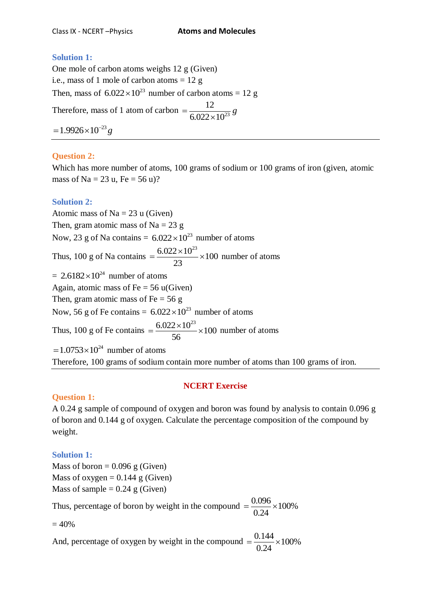## **Solution 1:**

One mole of carbon atoms weighs 12 g (Given) i.e., mass of 1 mole of carbon atoms  $= 12$  g Then, mass of  $6.022 \times 10^{23}$  number of carbon atoms = 12 g Therefore, mass of 1 atom of carbon  $=\frac{12}{6.022 \times 10^{23}}$ 12  $6.022 \times 10$  $=\frac{12}{5.000 \times 10^{23}} g$  $\times$  $= 1.9926 \times 10^{-23} g$ 

# **Question 2:**

Which has more number of atoms, 100 grams of sodium or 100 grams of iron (given, atomic mass of Na =  $23$  u, Fe =  $56$  u)?

## **Solution 2:**

Atomic mass of  $Na = 23$  u (Given) Then, gram atomic mass of Na =  $23 g$ Now, 23 g of Na contains =  $6.022 \times 10^{23}$  number of atoms Thus, 100 g of Na contains  $= \frac{6.022 \times 10^{23}}{20} \times 100$ 23  $=\frac{6.022\times10^{23}}{22}\times100$  number of atoms  $= 2.6182 \times 10^{24}$  number of atoms Again, atomic mass of  $Fe = 56$  u(Given) Then, gram atomic mass of Fe  $= 56$  g Now, 56 g of Fe contains =  $6.022 \times 10^{23}$  number of atoms Thus, 100 g of Fe contains  $= \frac{6.022 \times 10^{23}}{5.5 \times 10^{23}} \times 100$ 56  $=\frac{6.022\times10^{23}}{56}\times100$  number of atoms  $=1.0753\times10^{24}$  number of atoms Therefore, 100 grams of sodium contain more number of atoms than 100 grams of iron.

## **NCERT Exercise**

# **Question 1:**

A 0.24 g sample of compound of oxygen and boron was found by analysis to contain 0.096 g of boron and 0.144 g of oxygen. Calculate the percentage composition of the compound by weight.

## **Solution 1:**

Mass of boron  $= 0.096$  g (Given) Mass of oxygen  $= 0.144$  g (Given) Mass of sample  $= 0.24$  g (Given)

Thus, percentage of boron by weight in the compound  $=$   $\frac{0.096}{0.01} \times 100\%$ 0.24  $=\frac{0.090}{0.24} \times 1$ 

 $= 40%$ 

And, percentage of oxygen by weight in the compound  $=$   $\frac{0.144}{0.24} \times 100\%$ 0.24  $=\frac{0.144}{8.24} \times 1$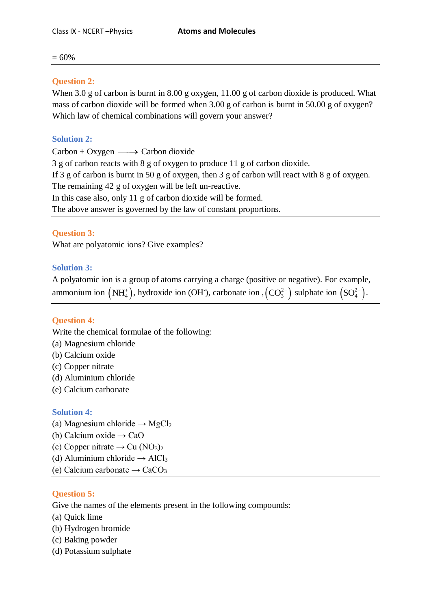$= 60%$ 

## **Question 2:**

When 3.0 g of carbon is burnt in 8.00 g oxygen, 11.00 g of carbon dioxide is produced. What mass of carbon dioxide will be formed when 3.00 g of carbon is burnt in 50.00 g of oxygen? Which law of chemical combinations will govern your answer?

# **Solution 2:**

 $Carbon + Oxygen \longrightarrow Carbon dioxide$ 3 g of carbon reacts with 8 g of oxygen to produce 11 g of carbon dioxide. If 3 g of carbon is burnt in 50 g of oxygen, then 3 g of carbon will react with 8 g of oxygen. The remaining 42 g of oxygen will be left un-reactive. In this case also, only 11 g of carbon dioxide will be formed. The above answer is governed by the law of constant proportions.

## **Question 3:**

What are polyatomic ions? Give examples?

## **Solution 3:**

A polyatomic ion is a group of atoms carrying a charge (positive or negative). For example, ammonium ion  $(NH_4^*)$ , hydroxide ion (OH), carbonate ion  $(CO_3^{2-})$  sulphate ion  $(SO_4^{2-})$ .

## **Question 4:**

Write the chemical formulae of the following:

- (a) Magnesium chloride
- (b) Calcium oxide
- (c) Copper nitrate
- (d) Aluminium chloride
- (e) Calcium carbonate

## **Solution 4:**

- (a) Magnesium chloride  $\rightarrow$  MgCl<sub>2</sub>
- (b) Calcium oxide  $\rightarrow$  CaO
- (c) Copper nitrate  $\rightarrow$  Cu (NO<sub>3</sub>)<sub>2</sub>
- (d) Aluminium chloride  $\rightarrow$  AlCl<sub>3</sub>
- (e) Calcium carbonate  $\rightarrow$  CaCO<sub>3</sub>

# **Question 5:**

Give the names of the elements present in the following compounds:

- (a) Quick lime
- (b) Hydrogen bromide
- (c) Baking powder
- (d) Potassium sulphate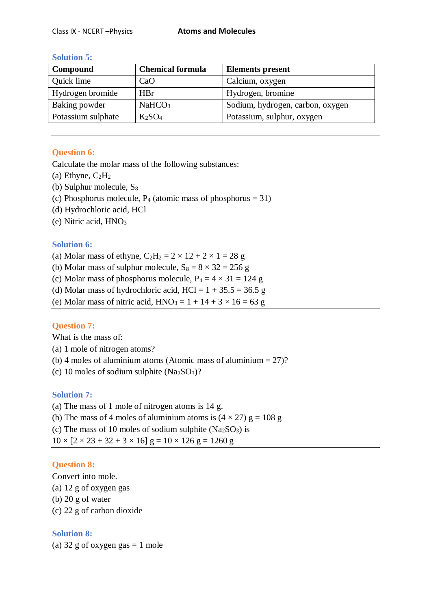| Compound           | <b>Chemical formula</b>        | <b>Elements present</b>          |
|--------------------|--------------------------------|----------------------------------|
| Quick lime         | CaO                            | Calcium, oxygen                  |
| Hydrogen bromide   | <b>HBr</b>                     | Hydrogen, bromine                |
| Baking powder      | NaHCO <sub>3</sub>             | Sodium, hydrogen, carbon, oxygen |
| Potassium sulphate | K <sub>2</sub> SO <sub>4</sub> | Potassium, sulphur, oxygen       |

### **Solution 5:**

## **Question 6:**

Calculate the molar mass of the following substances:

- (a) Ethyne,  $C_2H_2$
- (b) Sulphur molecule,  $S_8$
- (c) Phosphorus molecule,  $P_4$  (atomic mass of phosphorus = 31)
- (d) Hydrochloric acid, HCl
- (e) Nitric acid, HNO<sup>3</sup>

## **Solution 6:**

- (a) Molar mass of ethyne,  $C_2H_2 = 2 \times 12 + 2 \times 1 = 28$  g
- (b) Molar mass of sulphur molecule,  $S_8 = 8 \times 32 = 256$  g
- (c) Molar mass of phosphorus molecule,  $P_4 = 4 \times 31 = 124$  g
- (d) Molar mass of hydrochloric acid,  $HCl = 1 + 35.5 = 36.5$  g
- (e) Molar mass of nitric acid,  $HNO<sub>3</sub> = 1 + 14 + 3 \times 16 = 63$  g

## **Question 7:**

What is the mass of:

- (a) 1 mole of nitrogen atoms?
- (b) 4 moles of aluminium atoms (Atomic mass of aluminium  $= 27$ )?
- (c) 10 moles of sodium sulphite  $(Na_2SO_3)$ ?

## **Solution 7:**

(a) The mass of 1 mole of nitrogen atoms is 14 g.

- (b) The mass of 4 moles of aluminium atoms is  $(4 \times 27)$  g = 108 g
- (c) The mass of 10 moles of sodium sulphite  $(Na_2SO_3)$  is

 $10 \times [2 \times 23 + 32 + 3 \times 16]$  g =  $10 \times 126$  g = 1260 g

## **Question 8:**

Convert into mole.

- (a) 12 g of oxygen gas
- (b) 20 g of water
- (c) 22 g of carbon dioxide

# **Solution 8:**

(a)  $32$  g of oxygen gas = 1 mole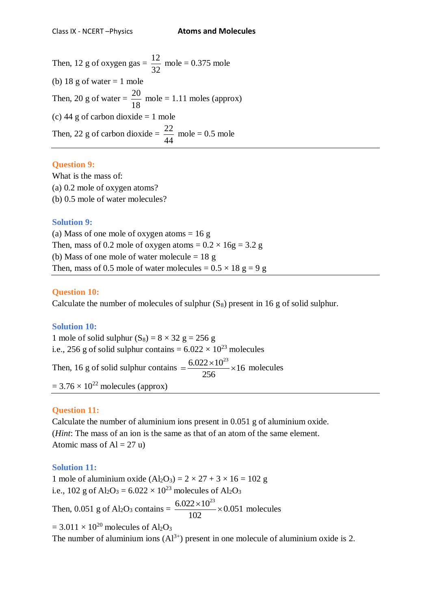Then, 12 g of oxygen gas =  $\frac{12}{22}$ 32  $mole = 0.375$  mole (b) 18 g of water  $= 1$  mole Then, 20 g of water =  $\frac{20}{10}$ 18  $mole = 1.11$  moles (approx) (c) 44 g of carbon dioxide  $= 1$  mole Then, 22 g of carbon dioxide =  $\frac{22}{11}$ 44  $mole = 0.5$  mole

### **Question 9:**

What is the mass of: (a) 0.2 mole of oxygen atoms? (b) 0.5 mole of water molecules?

## **Solution 9:**

(a) Mass of one mole of oxygen atoms  $= 16$  g Then, mass of 0.2 mole of oxygen atoms =  $0.2 \times 16$ g = 3.2 g (b) Mass of one mole of water molecule  $= 18$  g Then, mass of 0.5 mole of water molecules =  $0.5 \times 18$  g = 9 g

## **Question 10:**

Calculate the number of molecules of sulphur  $(S_8)$  present in 16 g of solid sulphur.

## **Solution 10:**

1 mole of solid sulphur  $(S_8) = 8 \times 32$  g = 256 g i.e., 256 g of solid sulphur contains =  $6.022 \times 10^{23}$  molecules Then, 16 g of solid sulphur contains  $=$   $\frac{6.022 \times 10^{23}}{256} \times 16$ 256  $=\frac{6.022\times10^{23}}{256}\times16$  molecules  $= 3.76 \times 10^{22}$  molecules (approx)

# **Question 11:**

Calculate the number of aluminium ions present in 0.051 g of aluminium oxide. (*Hint*: The mass of an ion is the same as that of an atom of the same element. Atomic mass of  $Al = 27$  u)

## **Solution 11:**

1 mole of aluminium oxide  $(A_2O_3) = 2 \times 27 + 3 \times 16 = 102$  g i.e., 102 g of  $Al_2O_3 = 6.022 \times 10^{23}$  molecules of  $Al_2O_3$ Then, 0.051 g of Al<sub>2</sub>O<sub>3</sub> contains =  $\frac{6.022 \times 10^{23}}{100} \times 0.051$ 102  $\frac{\times 10^{23}}{\sqrt{2}}$  × 0.051 molecules  $= 3.011 \times 10^{20}$  molecules of Al<sub>2</sub>O<sub>3</sub>

The number of aluminium ions  $(A1^{3+})$  present in one molecule of aluminium oxide is 2.